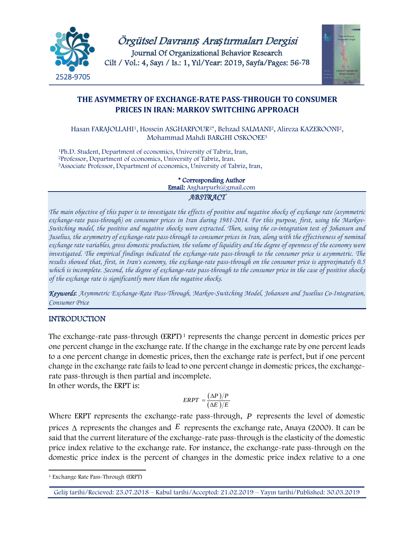

Örgütsel Davranı*ş* Ara*ş*tırmaları Dergisi Journal Of Organizational Behavior Research Cilt / Vol.: 4, Sayı / Is.: 1, Yıl/Year: 2019, Sayfa/Pages: 56**-78**



## **THE ASYMMETRY OF EXCHANGE-RATE PASS-THROUGH TO CONSUMER PRICES IN IRAN: MARKOV SWITCHING APPROACH**

Hasan FARAJOLLAHI1, Hossein ASGHARPOUR2\*, Behzad SALMANI2, Alireza KAZEROONI2, Mohammad Mahdi BARGHI OSKOOEE<sup>3</sup>

<sup>1</sup>Ph.D. Student, Department of economics, University of Tabriz, Iran, 2Professor, Department of economics, University of Tabriz, Iran. <sup>3</sup>Associate Professor, Department of economics, University of Tabriz, Iran,

> \* Corresponding Author Email: Asgharpurh@gmail.com *ABSTRACT*

*The main objective of this paper is to investigate the effects of positive and negative shocks of exchange rate (asymmetric exchange-rate pass-through) on consumer prices in Iran during 1981-2014. For this purpose, first, using the Markov-Switching model, the positive and negative shocks were extracted. Then, using the co-integration test of Johansen and Juselius, the asymmetry of exchange-rate pass-through to consumer prices in Iran, along with the effectiveness of nominal exchange rate variables, gross domestic production, the volume of liquidity and the degree of openness of the economy were investigated. The empirical findings indicated the exchange-rate pass-through to the consumer price is asymmetric. The results showed that, first, in Iran's economy, the exchange-rate pass-through on the consumer price is approximately 0.5 which is incomplete. Second, the degree of exchange-rate pass-through to the consumer price in the case of positive shocks of the exchange rate is significantly more than the negative shocks.*

*Keywords*: *Asymmetric Exchange-Rate Pass-Through, Markov-Switching Model, Johansen and Juselius Co-Integration, Consumer Price*

### **INTRODUCTION**

The exchange-rate pass-through (ERPT)<sup>[1](#page-0-0)</sup> represents the change percent in domestic prices per one percent change in the exchange rate. If the change in the exchange rate by one percent leads to a one percent change in domestic prices, then the exchange rate is perfect, but if one percent change in the exchange rate fails to lead to one percent change in domestic prices, the exchangerate pass-through is then partial and incomplete.

In other words, the ERPT is:

$$
ERPT = \frac{(\Delta P)/P}{(\Delta E)/E}
$$

Where ERPT represents the exchange-rate pass-through, *P* represents the level of domestic prices ∆ represents the changes and *E* represents the exchange rate, Anaya (2000). It can be said that the current literature of the exchange-rate pass-through is the elasticity of the domestic price index relative to the exchange rate. For instance, the exchange-rate pass-through on the domestic price index is the percent of changes in the domestic price index relative to a one

<span id="page-0-0"></span> $\overline{a}$ <sup>1</sup> Exchange Rate Pass-Through (ERPT)

Geliş tarihi/Recieved: 23.07.2018 – Kabul tarihi/Accepted: 21.02.2019 – Yayın tarihi/Published: 30.03.2019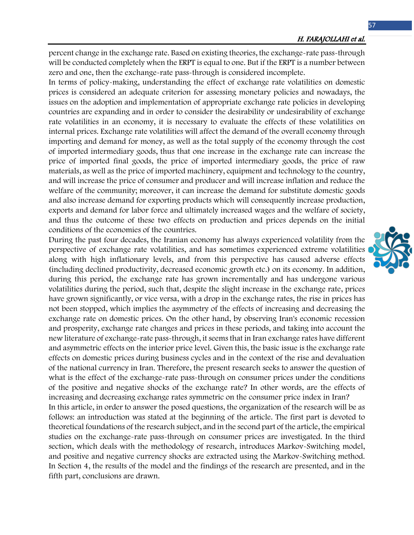percent change in the exchange rate. Based on existing theories, the exchange-rate pass-through will be conducted completely when the ERPT is equal to one. But if the ERPT is a number between zero and one, then the exchange-rate pass-through is considered incomplete.

In terms of policy-making, understanding the effect of exchange rate volatilities on domestic prices is considered an adequate criterion for assessing monetary policies and nowadays, the issues on the adoption and implementation of appropriate exchange rate policies in developing countries are expanding and in order to consider the desirability or undesirability of exchange rate volatilities in an economy, it is necessary to evaluate the effects of these volatilities on internal prices. Exchange rate volatilities will affect the demand of the overall economy through importing and demand for money, as well as the total supply of the economy through the cost of imported intermediary goods, thus that one increase in the exchange rate can increase the price of imported final goods, the price of imported intermediary goods, the price of raw materials, as well as the price of imported machinery, equipment and technology to the country, and will increase the price of consumer and producer and will increase inflation and reduce the welfare of the community; moreover, it can increase the demand for substitute domestic goods and also increase demand for exporting products which will consequently increase production, exports and demand for labor force and ultimately increased wages and the welfare of society, and thus the outcome of these two effects on production and prices depends on the initial conditions of the economies of the countries.

During the past four decades, the Iranian economy has always experienced volatility from the perspective of exchange rate volatilities, and has sometimes experienced extreme volatilities along with high inflationary levels, and from this perspective has caused adverse effects (including declined productivity, decreased economic growth etc.) on its economy. In addition, during this period, the exchange rate has grown incrementally and has undergone various volatilities during the period, such that, despite the slight increase in the exchange rate, prices have grown significantly, or vice versa, with a drop in the exchange rates, the rise in prices has not been stopped, which implies the asymmetry of the effects of increasing and decreasing the exchange rate on domestic prices. On the other hand, by observing Iran's economic recession and prosperity, exchange rate changes and prices in these periods, and taking into account the new literature of exchange-rate pass-through, it seems that in Iran exchange rates have different and asymmetric effects on the interior price level. Given this, the basic issue is the exchange rate effects on domestic prices during business cycles and in the context of the rise and devaluation of the national currency in Iran. Therefore, the present research seeks to answer the question of what is the effect of the exchange-rate pass-through on consumer prices under the conditions of the positive and negative shocks of the exchange rate? In other words, are the effects of increasing and decreasing exchange rates symmetric on the consumer price index in Iran?

In this article, in order to answer the posed questions, the organization of the research will be as follows: an introduction was stated at the beginning of the article. The first part is devoted to theoretical foundations of the research subject, and in the second part of the article, the empirical studies on the exchange-rate pass-through on consumer prices are investigated. In the third section, which deals with the methodology of research, introduces Markov-Switching model, and positive and negative currency shocks are extracted using the Markov-Switching method. In Section 4, the results of the model and the findings of the research are presented, and in the fifth part, conclusions are drawn.

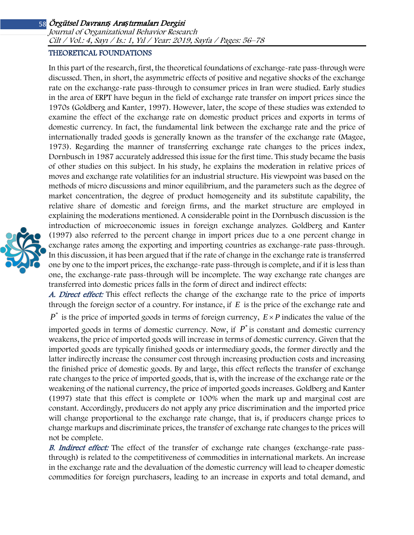Journal of Organizational Behavior Research Cilt / Vol.: 4, Sayı / Is.: <sup>1</sup>, Yıl / Year: 2019, Sayfa / Pages: 56–78

#### THEORETICAL FOUNDATIONS

In this part of the research, first, the theoretical foundations of exchange-rate pass-through were discussed. Then, in short, the asymmetric effects of positive and negative shocks of the exchange rate on the exchange-rate pass-through to consumer prices in Iran were studied. Early studies in the area of ERPT have begun in the field of exchange rate transfer on import prices since the 1970s (Goldberg and Kanter, 1997). However, later, the scope of these studies was extended to examine the effect of the exchange rate on domestic product prices and exports in terms of domestic currency. In fact, the fundamental link between the exchange rate and the price of internationally traded goods is generally known as the transfer of the exchange rate (Magee, 1973). Regarding the manner of transferring exchange rate changes to the prices index, Dornbusch in 1987 accurately addressed this issue for the first time. This study became the basis of other studies on this subject. In his study, he explains the moderation in relative prices of moves and exchange rate volatilities for an industrial structure. His viewpoint was based on the methods of micro discussions and minor equilibrium, and the parameters such as the degree of market concentration, the degree of product homogeneity and its substitute capability, the relative share of domestic and foreign firms, and the market structure are employed in explaining the moderations mentioned. A considerable point in the Dornbusch discussion is the introduction of microeconomic issues in foreign exchange analyzes. Goldberg and Kanter (1997) also referred to the percent change in import prices due to a one percent change in exchange rates among the exporting and importing countries as exchange-rate pass-through. In this discussion, it has been argued that if the rate of change in the exchange rate is transferred one by one to the import prices, the exchange-rate pass-through is complete, and if it is less than one, the exchange-rate pass-through will be incomplete. The way exchange rate changes are transferred into domestic prices falls in the form of direct and indirect effects:

A. Direct effect: This effect reflects the change of the exchange rate to the price of imports through the foreign sector of a country. For instance, if *E* is the price of the exchange rate and

 $P^*$  is the price of imported goods in terms of foreign currency,  $E \times P$  indicates the value of the imported goods in terms of domestic currency. Now, if  $P^*$  is constant and domestic currency weakens, the price of imported goods will increase in terms of domestic currency. Given that the imported goods are typically finished goods or intermediary goods, the former directly and the latter indirectly increase the consumer cost through increasing production costs and increasing the finished price of domestic goods. By and large, this effect reflects the transfer of exchange rate changes to the price of imported goods, that is, with the increase of the exchange rate or the weakening of the national currency, the price of imported goods increases. Goldberg and Kanter (1997) state that this effect is complete or 100% when the mark up and marginal cost are constant. Accordingly, producers do not apply any price discrimination and the imported price will change proportional to the exchange rate change, that is, if producers change prices to change markups and discriminate prices, the transfer of exchange rate changes to the prices will not be complete.

B. Indirect effect: The effect of the transfer of exchange rate changes (exchange-rate passthrough) is related to the competitiveness of commodities in international markets. An increase in the exchange rate and the devaluation of the domestic currency will lead to cheaper domestic commodities for foreign purchasers, leading to an increase in exports and total demand, and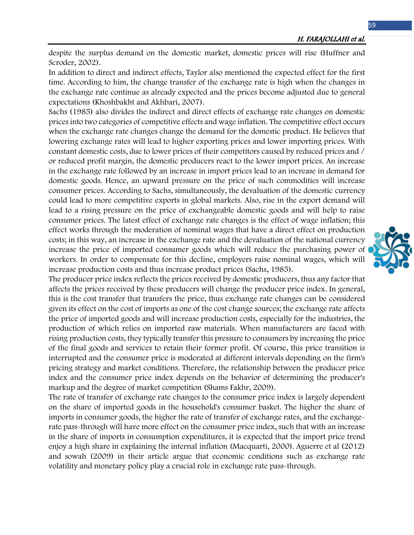despite the surplus demand on the domestic market, domestic prices will rise (Huffner and Scroder, 2002).

In addition to direct and indirect effects, Taylor also mentioned the expected effect for the first time. According to him, the change transfer of the exchange rate is high when the changes in the exchange rate continue as already expected and the prices become adjusted due to general expectations (Khoshbakht and Akhbari, 2007).

Sachs (1985) also divides the indirect and direct effects of exchange rate changes on domestic prices into two categories of competitive effects and wage inflation. The competitive effect occurs when the exchange rate changes change the demand for the domestic product. He believes that lowering exchange rates will lead to higher exporting prices and lower importing prices. With constant domestic costs, due to lower prices of their competitors caused by reduced prices and / or reduced profit margin, the domestic producers react to the lower import prices. An increase in the exchange rate followed by an increase in import prices lead to an increase in demand for domestic goods. Hence, an upward pressure on the price of such commodities will increase consumer prices. According to Sachs, simultaneously, the devaluation of the domestic currency could lead to more competitive exports in global markets. Also, rise in the export demand will lead to a rising pressure on the price of exchangeable domestic goods and will help to raise consumer prices. The latest effect of exchange rate changes is the effect of wage inflation; this effect works through the moderation of nominal wages that have a direct effect on production costs; in this way, an increase in the exchange rate and the devaluation of the national currency increase the price of imported consumer goods which will reduce the purchasing power of workers. In order to compensate for this decline, employers raise nominal wages, which will increase production costs and thus increase product prices (Sachs, 1985).

The producer price index reflects the prices received by domestic producers, thus any factor that affects the prices received by these producers will change the producer price index. In general, this is the cost transfer that transfers the price, thus exchange rate changes can be considered given its effect on the cost of imports as one of the cost change sources; the exchange rate affects the price of imported goods and will increase production costs, especially for the industries, the production of which relies on imported raw materials. When manufacturers are faced with rising production costs, they typically transfer this pressure to consumers by increasing the price of the final goods and services to retain their former profit. Of course, this price transition is interrupted and the consumer price is moderated at different intervals depending on the firm's pricing strategy and market conditions. Therefore, the relationship between the producer price index and the consumer price index depends on the behavior of determining the producer's markup and the degree of market competition (Shams Fakhr, 2009).

The rate of transfer of exchange rate changes to the consumer price index is largely dependent on the share of imported goods in the household's consumer basket. The higher the share of imports in consumer goods, the higher the rate of transfer of exchange rates, and the exchangerate pass-through will have more effect on the consumer price index, such that with an increase in the share of imports in consumption expenditures, it is expected that the import price trend enjoy a high share in explaining the internal inflation (Macquarti, 2000). Aguerre et al (2012) and sowah (2009) in their article argue that economic conditions such as exchange rate volatility and monetary policy play a crucial role in exchange rate pass-through.

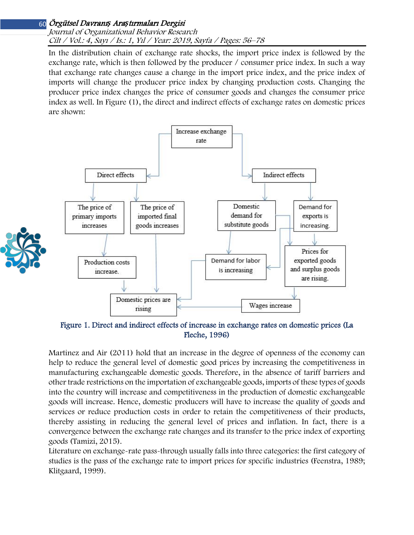Journal of Organizational Behavior Research Cilt / Vol.: 4, Sayı / Is.: <sup>1</sup>, Yıl / Year: 2019, Sayfa / Pages: 56–78

In the distribution chain of exchange rate shocks, the import price index is followed by the exchange rate, which is then followed by the producer / consumer price index. In such a way that exchange rate changes cause a change in the import price index, and the price index of imports will change the producer price index by changing production costs. Changing the producer price index changes the price of consumer goods and changes the consumer price index as well. In Figure (1), the direct and indirect effects of exchange rates on domestic prices are shown:



Figure 1. Direct and indirect effects of increase in exchange rates on domestic prices (La Fleche, 1996)

Martinez and Air (2011) hold that an increase in the degree of openness of the economy can help to reduce the general level of domestic good prices by increasing the competitiveness in manufacturing exchangeable domestic goods. Therefore, in the absence of tariff barriers and other trade restrictions on the importation of exchangeable goods, imports of these types of goods into the country will increase and competitiveness in the production of domestic exchangeable goods will increase. Hence, domestic producers will have to increase the quality of goods and services or reduce production costs in order to retain the competitiveness of their products, thereby assisting in reducing the general level of prices and inflation. In fact, there is a convergence between the exchange rate changes and its transfer to the price index of exporting goods (Tamizi, 2015).

Literature on exchange-rate pass-through usually falls into three categories: the first category of studies is the pass of the exchange rate to import prices for specific industries (Feenstra, 1989; Klitgaard, 1999).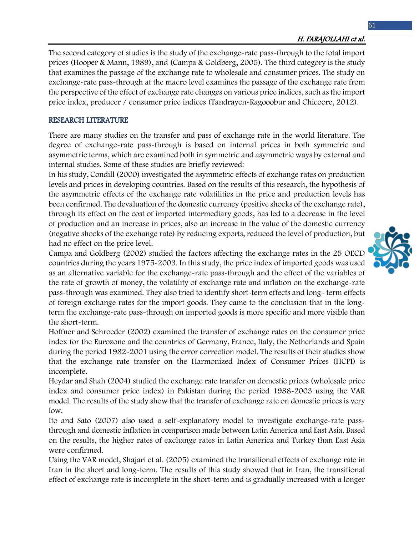### H. FARAJOLLAHI et al.

The second category of studies is the study of the exchange-rate pass-through to the total import prices (Hooper & Mann, 1989), and (Campa & Goldberg, 2005). The third category is the study that examines the passage of the exchange rate to wholesale and consumer prices. The study on exchange-rate pass-through at the macro level examines the passage of the exchange rate from the perspective of the effect of exchange rate changes on various price indices, such as the import price index, producer / consumer price indices (Tandrayen-Ragooobur and Chicoore, 2012).

#### RESEARCH LITERATURE

There are many studies on the transfer and pass of exchange rate in the world literature. The degree of exchange-rate pass-through is based on internal prices in both symmetric and asymmetric terms, which are examined both in symmetric and asymmetric ways by external and internal studies. Some of these studies are briefly reviewed:

In his study, Condill (2000) investigated the asymmetric effects of exchange rates on production levels and prices in developing countries. Based on the results of this research, the hypothesis of the asymmetric effects of the exchange rate volatilities in the price and production levels has been confirmed. The devaluation of the domestic currency (positive shocks of the exchange rate), through its effect on the cost of imported intermediary goods, has led to a decrease in the level of production and an increase in prices, also an increase in the value of the domestic currency (negative shocks of the exchange rate) by reducing exports, reduced the level of production, but had no effect on the price level.

Campa and Goldberg (2002) studied the factors affecting the exchange rates in the 25 OECD countries during the years 1975-2003. In this study, the price index of imported goods was used as an alternative variable for the exchange-rate pass-through and the effect of the variables of the rate of growth of money, the volatility of exchange rate and inflation on the exchange-rate pass-through was examined. They also tried to identify short-term effects and long- term effects of foreign exchange rates for the import goods. They came to the conclusion that in the longterm the exchange-rate pass-through on imported goods is more specific and more visible than the short-term.

Hoffner and Schroeder (2002) examined the transfer of exchange rates on the consumer price index for the Eurozone and the countries of Germany, France, Italy, the Netherlands and Spain during the period 1982-2001 using the error correction model. The results of their studies show that the exchange rate transfer on the Harmonized Index of Consumer Prices (HCPI) is incomplete.

Heydar and Shah (2004) studied the exchange rate transfer on domestic prices (wholesale price index and consumer price index) in Pakistan during the period 1988-2003 using the VAR model. The results of the study show that the transfer of exchange rate on domestic prices is very low.

Ito and Sato (2007) also used a self-explanatory model to investigate exchange-rate passthrough and domestic inflation in comparison made between Latin America and East Asia. Based on the results, the higher rates of exchange rates in Latin America and Turkey than East Asia were confirmed.

Using the VAR model, Shajari et al. (2005) examined the transitional effects of exchange rate in Iran in the short and long-term. The results of this study showed that in Iran, the transitional effect of exchange rate is incomplete in the short-term and is gradually increased with a longer

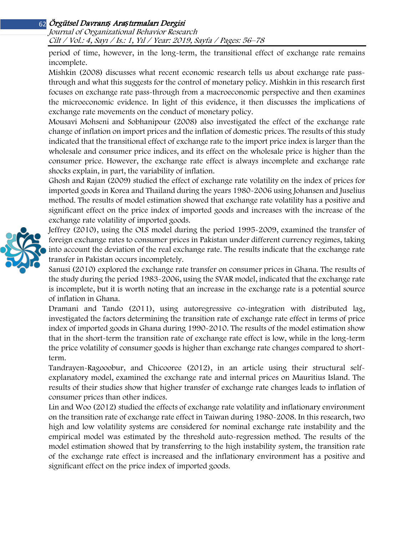Journal of Organizational Behavior Research Cilt / Vol.: 4, Sayı / Is.: <sup>1</sup>, Yıl / Year: 2019, Sayfa / Pages: 56–78

period of time, however, in the long-term, the transitional effect of exchange rate remains incomplete.

Mishkin (2008) discusses what recent economic research tells us about exchange rate passthrough and what this suggests for the control of monetary policy. Mishkin in this research first focuses on exchange rate pass-through from a macroeconomic perspective and then examines the microeconomic evidence. In light of this evidence, it then discusses the implications of exchange rate movements on the conduct of monetary policy.

Mousavi Mohseni and Sobhanipour (2008) also investigated the effect of the exchange rate change of inflation on import prices and the inflation of domestic prices. The results of this study indicated that the transitional effect of exchange rate to the import price index is larger than the wholesale and consumer price indices, and its effect on the wholesale price is higher than the consumer price. However, the exchange rate effect is always incomplete and exchange rate shocks explain, in part, the variability of inflation.

Ghosh and Rajan (2009) studied the effect of exchange rate volatility on the index of prices for imported goods in Korea and Thailand during the years 1980-2006 using Johansen and Juselius method. The results of model estimation showed that exchange rate volatility has a positive and significant effect on the price index of imported goods and increases with the increase of the exchange rate volatility of imported goods.

Jeffrey (2010), using the OLS model during the period 1995-2009, examined the transfer of foreign exchange rates to consumer prices in Pakistan under different currency regimes, taking into account the deviation of the real exchange rate. The results indicate that the exchange rate transfer in Pakistan occurs incompletely.

Sanusi (2010) explored the exchange rate transfer on consumer prices in Ghana. The results of the study during the period 1983-2006, using the SVAR model, indicated that the exchange rate is incomplete, but it is worth noting that an increase in the exchange rate is a potential source of inflation in Ghana.

Dramani and Tando (2011), using autoregressive co-integration with distributed lag, investigated the factors determining the transition rate of exchange rate effect in terms of price index of imported goods in Ghana during 1990-2010. The results of the model estimation show that in the short-term the transition rate of exchange rate effect is low, while in the long-term the price volatility of consumer goods is higher than exchange rate changes compared to shortterm.

Tandrayen-Ragooobur, and Chicooree (2012), in an article using their structural selfexplanatory model, examined the exchange rate and internal prices on Mauritius Island. The results of their studies show that higher transfer of exchange rate changes leads to inflation of consumer prices than other indices.

Lin and Woo (2012) studied the effects of exchange rate volatility and inflationary environment on the transition rate of exchange rate effect in Taiwan during 1980-2008. In this research, two high and low volatility systems are considered for nominal exchange rate instability and the empirical model was estimated by the threshold auto-regression method. The results of the model estimation showed that by transferring to the high instability system, the transition rate of the exchange rate effect is increased and the inflationary environment has a positive and significant effect on the price index of imported goods.

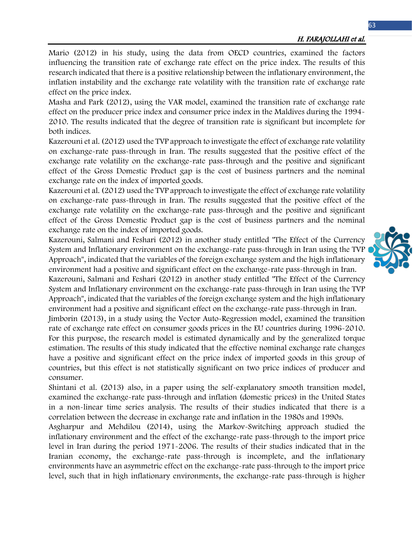#### H. FARAJOLLAHI et al.

Mario (2012) in his study, using the data from OECD countries, examined the factors influencing the transition rate of exchange rate effect on the price index. The results of this research indicated that there is a positive relationship between the inflationary environment, the inflation instability and the exchange rate volatility with the transition rate of exchange rate effect on the price index.

Masha and Park (2012), using the VAR model, examined the transition rate of exchange rate effect on the producer price index and consumer price index in the Maldives during the 1994- 2010. The results indicated that the degree of transition rate is significant but incomplete for both indices.

Kazerouni et al. (2012) used the TVP approach to investigate the effect of exchange rate volatility on exchange-rate pass-through in Iran. The results suggested that the positive effect of the exchange rate volatility on the exchange-rate pass-through and the positive and significant effect of the Gross Domestic Product gap is the cost of business partners and the nominal exchange rate on the index of imported goods.

Kazerouni et al. (2012) used the TVP approach to investigate the effect of exchange rate volatility on exchange-rate pass-through in Iran. The results suggested that the positive effect of the exchange rate volatility on the exchange-rate pass-through and the positive and significant effect of the Gross Domestic Product gap is the cost of business partners and the nominal exchange rate on the index of imported goods.

Kazerouni, Salmani and Feshari (2012) in another study entitled "The Effect of the Currency System and Inflationary environment on the exchange-rate pass-through in Iran using the TVP Approach", indicated that the variables of the foreign exchange system and the high inflationary environment had a positive and significant effect on the exchange-rate pass-through in Iran.

Kazerouni, Salmani and Feshari (2012) in another study entitled "The Effect of the Currency System and Inflationary environment on the exchange-rate pass-through in Iran using the TVP Approach", indicated that the variables of the foreign exchange system and the high inflationary environment had a positive and significant effect on the exchange-rate pass-through in Iran.

Jimborin (2013), in a study using the Vector Auto-Regression model, examined the transition rate of exchange rate effect on consumer goods prices in the EU countries during 1996-2010. For this purpose, the research model is estimated dynamically and by the generalized torque estimation. The results of this study indicated that the effective nominal exchange rate changes have a positive and significant effect on the price index of imported goods in this group of countries, but this effect is not statistically significant on two price indices of producer and consumer.

Shintani et al. (2013) also, in a paper using the self-explanatory smooth transition model, examined the exchange-rate pass-through and inflation (domestic prices) in the United States in a non-linear time series analysis. The results of their studies indicated that there is a correlation between the decrease in exchange rate and inflation in the 1980s and 1990s.

Asgharpur and Mehdilou (2014), using the Markov-Switching approach studied the inflationary environment and the effect of the exchange-rate pass-through to the import price level in Iran during the period 1971-2006. The results of their studies indicated that in the Iranian economy, the exchange-rate pass-through is incomplete, and the inflationary environments have an asymmetric effect on the exchange-rate pass-through to the import price level, such that in high inflationary environments, the exchange-rate pass-through is higher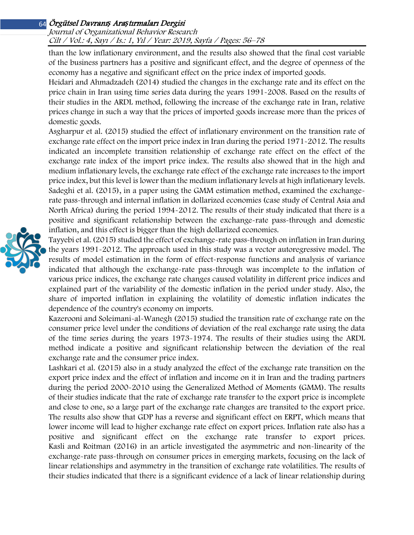Journal of Organizational Behavior Research Cilt / Vol.: 4, Sayı / Is.: <sup>1</sup>, Yıl / Year: 2019, Sayfa / Pages: 56–78

than the low inflationary environment, and the results also showed that the final cost variable of the business partners has a positive and significant effect, and the degree of openness of the economy has a negative and significant effect on the price index of imported goods.

Heidari and Ahmadzadeh (2014) studied the changes in the exchange rate and its effect on the price chain in Iran using time series data during the years 1991-2008. Based on the results of their studies in the ARDL method, following the increase of the exchange rate in Iran, relative prices change in such a way that the prices of imported goods increase more than the prices of domestic goods.

Asgharpur et al. (2015) studied the effect of inflationary environment on the transition rate of exchange rate effect on the import price index in Iran during the period 1971-2012. The results indicated an incomplete transition relationship of exchange rate effect on the effect of the exchange rate index of the import price index. The results also showed that in the high and medium inflationary levels, the exchange rate effect of the exchange rate increases to the import price index, but this level is lower than the medium inflationary levels at high inflationary levels. Sadeghi et al. (2015), in a paper using the GMM estimation method, examined the exchangerate pass-through and internal inflation in dollarized economies (case study of Central Asia and North Africa) during the period 1994-2012. The results of their study indicated that there is a positive and significant relationship between the exchange-rate pass-through and domestic inflation, and this effect is bigger than the high dollarized economies.



Kazerooni and Soleimani-al-Wanegh (2015) studied the transition rate of exchange rate on the consumer price level under the conditions of deviation of the real exchange rate using the data of the time series during the years 1973-1974. The results of their studies using the ARDL method indicate a positive and significant relationship between the deviation of the real exchange rate and the consumer price index.

Lashkari et al. (2015) also in a study analyzed the effect of the exchange rate transition on the export price index and the effect of inflation and income on it in Iran and the trading partners during the period 2000-2010 using the Generalized Method of Moments (GMM). The results of their studies indicate that the rate of exchange rate transfer to the export price is incomplete and close to one, so a large part of the exchange rate changes are transited to the export price. The results also show that GDP has a reverse and significant effect on ERPT, which means that lower income will lead to higher exchange rate effect on export prices. Inflation rate also has a positive and significant effect on the exchange rate transfer to export prices. Kasli and Roitman (2016) in an article investigated the asymmetric and non-linearity of the exchange-rate pass-through on consumer prices in emerging markets, focusing on the lack of linear relationships and asymmetry in the transition of exchange rate volatilities. The results of their studies indicated that there is a significant evidence of a lack of linear relationship during

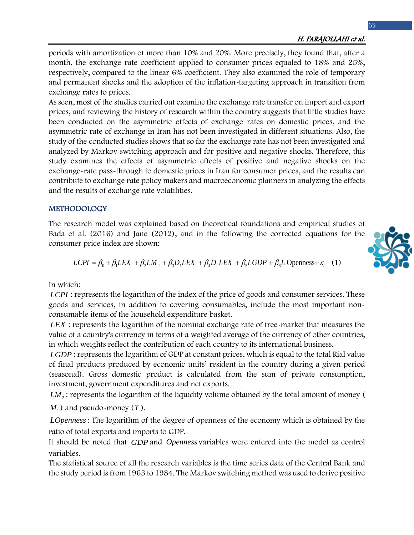periods with amortization of more than 10% and 20%. More precisely, they found that, after a month, the exchange rate coefficient applied to consumer prices equaled to 18% and 25%, respectively, compared to the linear 6% coefficient. They also examined the role of temporary and permanent shocks and the adoption of the inflation-targeting approach in transition from exchange rates to prices.

As seen, most of the studies carried out examine the exchange rate transfer on import and export prices, and reviewing the history of research within the country suggests that little studies have been conducted on the asymmetric effects of exchange rates on domestic prices, and the asymmetric rate of exchange in Iran has not been investigated in different situations. Also, the study of the conducted studies shows that so far the exchange rate has not been investigated and analyzed by Markov switching approach and for positive and negative shocks. Therefore, this study examines the effects of asymmetric effects of positive and negative shocks on the exchange-rate pass-through to domestic prices in Iran for consumer prices, and the results can contribute to exchange rate policy makers and macroeconomic planners in analyzing the effects and the results of exchange rate volatilities.

### METHODOLOGY

The research model was explained based on theoretical foundations and empirical studies of Bada et al. (2016) and Jane (2012), and in the following the corrected equations for the consumer price index are shown:

$$
LCPI = \beta_0 + \beta_1 LEX + \beta_2 LM_2 + \beta_3 D_1 LEX + \beta_4 D_2 LEX + \beta_5 LGDP + \beta_6 L \text{ Openness} + \varepsilon_t
$$
 (1)

In which:

*LCPI* : represents the logarithm of the index of the price of goods and consumer services. These goods and services, in addition to covering consumables, include the most important nonconsumable items of the household expenditure basket.

*LEX* : represents the logarithm of the nominal exchange rate of free-market that measures the value of a country's currency in terms of a weighted average of the currency of other countries, in which weights reflect the contribution of each country to its international business.

*LGDP* : represents the logarithm of GDP at constant prices, which is equal to the total Rial value of final products produced by economic units' resident in the country during a given period (seasonal). Gross domestic product is calculated from the sum of private consumption, investment, government expenditures and net exports.

*LM*<sub>2</sub>: represents the logarithm of the liquidity volume obtained by the total amount of money (

 $M<sub>1</sub>$ ) and pseudo-money (*T*).

*LOpenness* : The logarithm of the degree of openness of the economy which is obtained by the ratio of total exports and imports to GDP.

It should be noted that *GDP* and *Openness* variables were entered into the model as control variables.

The statistical source of all the research variables is the time series data of the Central Bank and the study period is from 1963 to 1984. The Markov switching method was used to derive positive

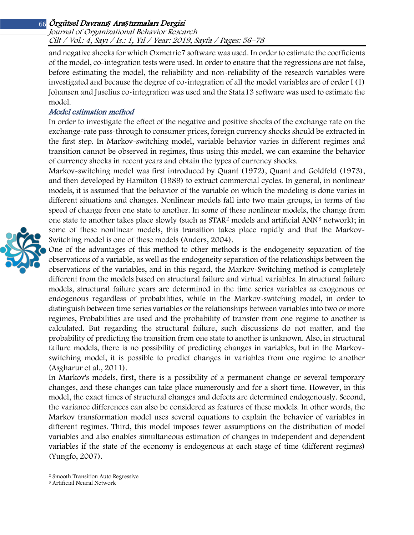Journal of Organizational Behavior Research Cilt / Vol.: 4, Sayı / Is.: <sup>1</sup>, Yıl / Year: 2019, Sayfa / Pages: 56–78

and negative shocks for which Oxmetric7 software was used. In order to estimate the coefficients of the model, co-integration tests were used. In order to ensure that the regressions are not false, before estimating the model, the reliability and non-reliability of the research variables were investigated and because the degree of co-integration of all the model variables are of order I (1) Johansen and Juselius co-integration was used and the Stata13 software was used to estimate the model.

### Model estimation method

In order to investigate the effect of the negative and positive shocks of the exchange rate on the exchange-rate pass-through to consumer prices, foreign currency shocks should be extracted in the first step. In Markov-switching model, variable behavior varies in different regimes and transition cannot be observed in regimes, thus using this model, we can examine the behavior of currency shocks in recent years and obtain the types of currency shocks.

Markov-switching model was first introduced by Quant (1972), Quant and Goldfeld (1973), and then developed by Hamilton (1989) to extract commercial cycles. In general, in nonlinear models, it is assumed that the behavior of the variable on which the modeling is done varies in different situations and changes. Nonlinear models fall into two main groups, in terms of the speed of change from one state to another. In some of these nonlinear models, the change from one state to another takes place slowly (such as STAR<sup>2</sup> models and artificial ANN<sup>[3](#page-10-1)</sup> network); in some of these nonlinear models, this transition takes place rapidly and that the Markov-Switching model is one of these models (Anders, 2004).

One of the advantages of this method to other methods is the endogeneity separation of the observations of a variable, as well as the endogeneity separation of the relationships between the observations of the variables, and in this regard, the Markov-Switching method is completely different from the models based on structural failure and virtual variables. In structural failure models, structural failure years are determined in the time series variables as exogenous or endogenous regardless of probabilities, while in the Markov-switching model, in order to distinguish between time series variables or the relationships between variables into two or more regimes, Probabilities are used and the probability of transfer from one regime to another is calculated. But regarding the structural failure, such discussions do not matter, and the probability of predicting the transition from one state to another is unknown. Also, in structural failure models, there is no possibility of predicting changes in variables, but in the Markovswitching model, it is possible to predict changes in variables from one regime to another (Asgharur et al., 2011).

In Markov's models, first, there is a possibility of a permanent change or several temporary changes, and these changes can take place numerously and for a short time. However, in this model, the exact times of structural changes and defects are determined endogenously. Second, the variance differences can also be considered as features of these models. In other words, the Markov transformation model uses several equations to explain the behavior of variables in different regimes. Third, this model imposes fewer assumptions on the distribution of model variables and also enables simultaneous estimation of changes in independent and dependent variables if the state of the economy is endogenous at each stage of time (different regimes) (Yungfo, 2007).

l



<sup>2</sup> Smooth Transition Auto Regressive

<span id="page-10-1"></span><span id="page-10-0"></span><sup>3</sup> Artificial Neural Network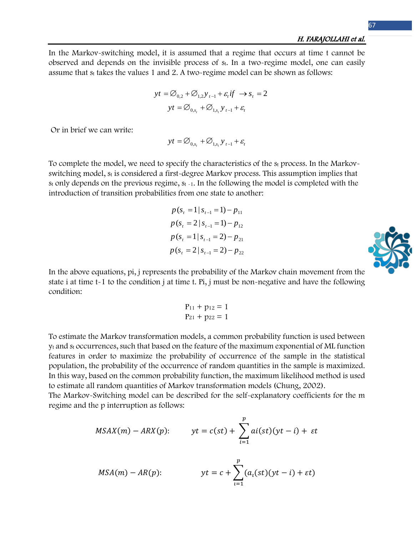In the Markov-switching model, it is assumed that a regime that occurs at time t cannot be observed and depends on the invisible process of st. In a two-regime model, one can easily assume that  $s_t$  takes the values 1 and 2. A two-regime model can be shown as follows:

$$
yt = \emptyset_{0,2} + \emptyset_{1,2}y_{t-1} + \varepsilon_t if \rightarrow s_t = 2
$$

$$
yt = \emptyset_{0,s_t} + \emptyset_{1,s_t}y_{t-1} + \varepsilon_t
$$

Or in brief we can write:

 $yt = \varnothing_{0}$   $_{s} + \varnothing_{1}$   $_{s}$   $y$   $_{t-1} + \varepsilon_{t}$ 

To complete the model, we need to specify the characteristics of the st process. In the Markovswitching model,  $s_t$  is considered a first-degree Markov process. This assumption implies that  $s_t$  only depends on the previous regime,  $s_{t-1}$ . In the following the model is completed with the introduction of transition probabilities from one state to another:

$$
p(s_{t} = 1 | s_{t-1} = 1) - p_{11}
$$
  
\n
$$
p(s_{t} = 2 | s_{t-1} = 1) - p_{12}
$$
  
\n
$$
p(s_{t} = 1 | s_{t-1} = 2) - p_{21}
$$
  
\n
$$
p(s_{t} = 2 | s_{t-1} = 2) - p_{22}
$$



In the above equations, pi, j represents the probability of the Markov chain movement from the state i at time t-1 to the condition j at time t. Pi, j must be non-negative and have the following condition:

$$
\begin{aligned} p_{11} + p_{12} &= 1\\ p_{21} + p_{22} &= 1 \end{aligned}
$$

To estimate the Markov transformation models, a common probability function is used between  $v_t$  and  $s_t$  occurrences, such that based on the feature of the maximum exponential of ML function features in order to maximize the probability of occurrence of the sample in the statistical population, the probability of the occurrence of random quantities in the sample is maximized. In this way, based on the common probability function, the maximum likelihood method is used to estimate all random quantities of Markov transformation models (Chung, 2002).

The Markov-Switching model can be described for the self-explanatory coefficients for the m regime and the p interruption as follows:

$$
MSAX(m) - ARX(p): \qquad yt = c(st) + \sum_{i=1}^{p} ai(st)(yt - i) + \varepsilon t
$$

$$
MSA(m) - AR(p): \t\t\t\t\tyt = c + \sum_{i=1}^{p} (a_i(st)(yt - i) + \varepsilon t)
$$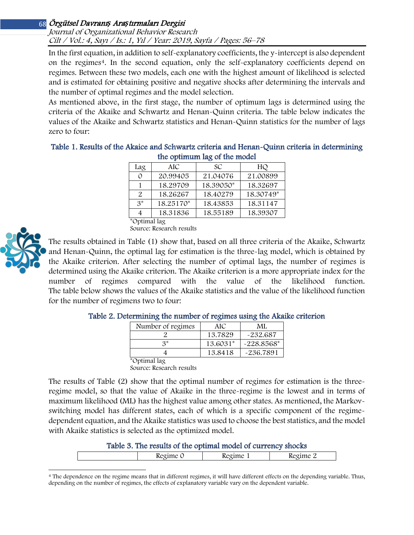Journal of Organizational Behavior Research Cilt / Vol.: 4, Sayı / Is.: <sup>1</sup>, Yıl / Year: 2019, Sayfa / Pages: 56–78

In the first equation, in addition to self-explanatory coefficients, the y-intercept is also dependent on the regimes<sup>[4](#page-12-0)</sup>. In the second equation, only the self-explanatory coefficients depend on regimes. Between these two models, each one with the highest amount of likelihood is selected and is estimated for obtaining positive and negative shocks after determining the intervals and the number of optimal regimes and the model selection.

As mentioned above, in the first stage, the number of optimum lags is determined using the criteria of the Akaike and Schwartz and Henan-Quinn criteria. The table below indicates the values of the Akaike and Schwartz statistics and Henan-Quinn statistics for the number of lags zero to four:

Table 1. Results of the Akaice and Schwartz criteria and Henan-Quinn criteria in determining the optimum lag of the model

| Lag          | AIC       | SC        | HQ        |  |  |  |  |  |  |
|--------------|-----------|-----------|-----------|--|--|--|--|--|--|
|              | 20.99405  | 21.04076  | 21.00899  |  |  |  |  |  |  |
|              | 18.29709  | 18.39050* | 18.32697  |  |  |  |  |  |  |
| 2.           | 18.26267  | 18.40279  | 18.30749* |  |  |  |  |  |  |
| $3^*$        | 18.25170* | 18.43853  | 18.31147  |  |  |  |  |  |  |
|              | 18.31836  | 18.55189  | 18.39307  |  |  |  |  |  |  |
| *Optimal lag |           |           |           |  |  |  |  |  |  |

Source: Research results



The results obtained in Table (1) show that, based on all three criteria of the Akaike, Schwartz and Henan-Quinn, the optimal lag for estimation is the three-lag model, which is obtained by the Akaike criterion. After selecting the number of optimal lags, the number of regimes is determined using the Akaike criterion. The Akaike criterion is a more appropriate index for the number of regimes compared with the value of the likelihood function. The table below shows the values of the Akaike statistics and the value of the likelihood function for the number of regimens two to four:

| Number of regimes | AIC      | ML           |
|-------------------|----------|--------------|
|                   | 13.7829  | $-232.687$   |
| $2*$              | 13.6031* | $-228.8568*$ |
|                   | 13.8418  | $-236.7891$  |
| $\sim$ $\sim$     |          |              |

#### Table 2. Determining the number of regimes using the Akaike criterion

Optimal lag Source: Research results

The results of Table (2) show that the optimal number of regimes for estimation is the threeregime model, so that the value of Akaike in the three-regime is the lowest and in terms of maximum likelihood (ML) has the highest value among other states. As mentioned, the Markovswitching model has different states, each of which is a specific component of the regimedependent equation, and the Akaike statistics was used to choose the best statistics, and the model with Akaike statistics is selected as the optimized model.

#### Table 3. The results of the optimal model of currency shocks

| <br><br>. .<br>. |  |
|------------------|--|
|------------------|--|

<span id="page-12-0"></span>l <sup>4</sup> The dependence on the regime means that in different regimes, it will have different effects on the depending variable. Thus, depending on the number of regimes, the effects of explanatory variable vary on the dependent variable.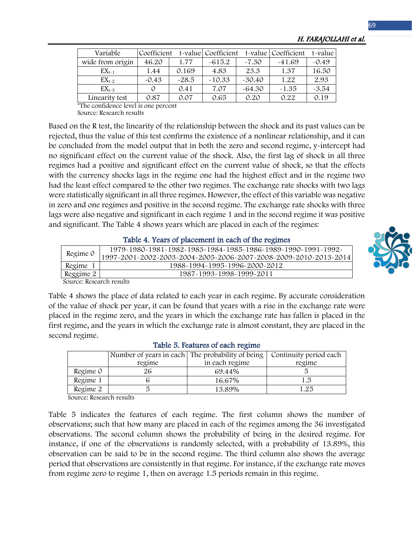| Variable         | Coefficient |         | t-value Coefficient |          | t-value Coefficient | t-value |
|------------------|-------------|---------|---------------------|----------|---------------------|---------|
| wide from origin | 46.20       | 1.77    | $-615.2$            | $-7.30$  | $-41.69$            | $-0.49$ |
| $EX_{t-1}$       | 1.44        | 0.169   | 4.83                | 23.3     | 1.37                | 16.50   |
| $EX_{t-2}$       | $-0.43$     | $-28.5$ | $-10.33$            | $-30.40$ | 1.22                | 2.93    |
| $EX_{t-3}$       |             | 0.41    | 7.07                | $-64.30$ | $-1.35$             | $-3.54$ |
| Linearity test   | 0.87        | 0.07    | 0.65                | 0.20     | 0.22                | 0.19    |

H. FARAJOLLAHI et al.

\*The confidence level is one percent Source: Research results

Based on the R test, the linearity of the relationship between the shock and its past values can be rejected, thus the value of this test confirms the existence of a nonlinear relationship, and it can be concluded from the model output that in both the zero and second regime, y-intercept had no significant effect on the current value of the shock. Also, the first lag of shock in all three regimes had a positive and significant effect on the current value of shock, so that the effects with the currency shocks lags in the regime one had the highest effect and in the regime two had the least effect compared to the other two regimes. The exchange rate shocks with two lags were statistically significant in all three regimes. However, the effect of this variable was negative in zero and one regimes and positive in the second regime. The exchange rate shocks with three lags were also negative and significant in each regime 1 and in the second regime it was positive and significant. The Table 4 shows years which are placed in each of the regimes:

#### Table 4. Years of placement in each of the regimes

| 1979~1980~1981~1982~1983~1984~1985~1986~1989~1990~1991~1992~                 |  |
|------------------------------------------------------------------------------|--|
| Regime 0<br>1997~2001~2002~2003~2004~2005~2006~2007~2008~2009~2010~2013~2014 |  |
| Regime 1<br>1988-1994-1995-1996-2000-2012                                    |  |
| Reggime 2<br>1987~1993~1998~1999~2011                                        |  |



Source: Research results

Table 4 shows the place of data related to each year in each regime. By accurate consideration of the value of shock per year, it can be found that years with a rise in the exchange rate were placed in the regime zero, and the years in which the exchange rate has fallen is placed in the first regime, and the years in which the exchange rate is almost constant, they are placed in the second regime.

|          | Number of years in each The probability of being |                | Continuity period each |  |  |  |  |  |  |
|----------|--------------------------------------------------|----------------|------------------------|--|--|--|--|--|--|
|          | regime                                           | in each regime | regime                 |  |  |  |  |  |  |
| Regime 0 | 26                                               | 69.44%         |                        |  |  |  |  |  |  |
| Regime 1 |                                                  | 16.67%         | 1.5                    |  |  |  |  |  |  |
| Regime 2 |                                                  | 13.89%         | 1.25                   |  |  |  |  |  |  |

#### Table 5. Features of each regime

Source: Research results

Table 5 indicates the features of each regime. The first column shows the number of observations; such that how many are placed in each of the regimes among the 36 investigated observations. The second column shows the probability of being in the desired regime. For instance, if one of the observations is randomly selected, with a probability of 13.89%, this observation can be said to be in the second regime. The third column also shows the average period that observations are consistently in that regime. For instance, if the exchange rate moves from regime zero to regime 1, then on average 1.5 periods remain in this regime.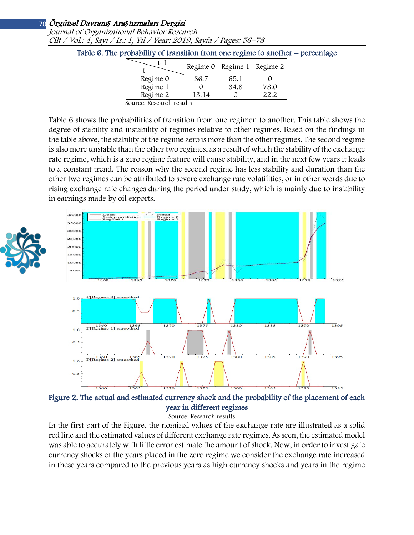Journal of Organizational Behavior Research Cilt / Vol.: 4, Sayı / Is.: <sup>1</sup>, Yıl / Year: 2019, Sayfa / Pages: 56–78

| F~ 1                     |       | Regime 0   Regime 1   Regime 2 |      |
|--------------------------|-------|--------------------------------|------|
| Regime 0                 | 86.7  | 65.1                           |      |
| Regime 1                 |       | 34.8                           | 78.0 |
| Regime 2                 | 13.14 |                                |      |
| Garriga Dagaanah magrifa |       |                                |      |

Table 6. The probability of transition from one regime to another – percentage

Source: Research results

Table 6 shows the probabilities of transition from one regimen to another. This table shows the degree of stability and instability of regimes relative to other regimes. Based on the findings in the table above, the stability of the regime zero is more than the other regimes. The second regime is also more unstable than the other two regimes, as a result of which the stability of the exchange rate regime, which is a zero regime feature will cause stability, and in the next few years it leads to a constant trend. The reason why the second regime has less stability and duration than the other two regimes can be attributed to severe exchange rate volatilities, or in other words due to rising exchange rate changes during the period under study, which is mainly due to instability in earnings made by oil exports.





Figure 2. The actual and estimated currency shock and the probability of the placement of each year in different regimes

Source: Research results

In the first part of the Figure, the nominal values of the exchange rate are illustrated as a solid red line and the estimated values of different exchange rate regimes. As seen, the estimated model was able to accurately with little error estimate the amount of shock. Now, in order to investigate currency shocks of the years placed in the zero regime we consider the exchange rate increased in these years compared to the previous years as high currency shocks and years in the regime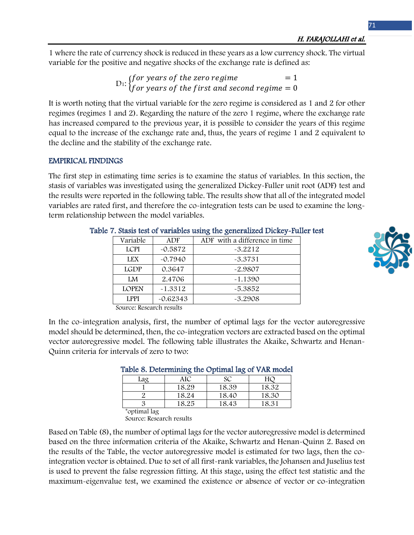1 where the rate of currency shock is reduced in these years as a low currency shock. The virtual variable for the positive and negative shocks of the exchange rate is defined as:

> $D_1$ : (for years of the zero regime  $D_1$ : )<br> $D_2$ : (for years of the first and second regime  $= 0$ f or years of the first and second regime  $= 0$

It is worth noting that the virtual variable for the zero regime is considered as 1 and 2 for other regimes (regimes 1 and 2). Regarding the nature of the zero 1 regime, where the exchange rate has increased compared to the previous year, it is possible to consider the years of this regime equal to the increase of the exchange rate and, thus, the years of regime 1 and 2 equivalent to the decline and the stability of the exchange rate.

### EMPIRICAL FINDINGS

The first step in estimating time series is to examine the status of variables. In this section, the stasis of variables was investigated using the generalized Dickey-Fuller unit root (ADF) test and the results were reported in the following table. The results show that all of the integrated model variables are rated first, and therefore the co-integration tests can be used to examine the longterm relationship between the model variables.

| Variable     | <b>ADF</b> | ADF with a difference in time |
|--------------|------------|-------------------------------|
| <b>LCPI</b>  | $-0.5872$  | $-3.2212$                     |
| <b>LEX</b>   | $-0.7940$  | $-3.3731$                     |
| <b>LGDP</b>  | 0.3647     | $-2.9807$                     |
| LM           | 2.4706     | $-1.1390$                     |
| <b>LOPEN</b> | $-1.3312$  | $-5.3852$                     |
| <b>LPPI</b>  | $-0.62343$ | $-3.2908$                     |
|              |            |                               |

### Table 7. Stasis test of variables using the generalized Dickey-Fuller test

Source: Research results

In the co-integration analysis, first, the number of optimal lags for the vector autoregressive model should be determined, then, the co-integration vectors are extracted based on the optimal vector autoregressive model. The following table illustrates the Akaike, Schwartz and Henan-Quinn criteria for intervals of zero to two:

|              |       | rapic 8. Determining the Optimal lax of VAK model |       |
|--------------|-------|---------------------------------------------------|-------|
| Lag          | AIC   | SС                                                |       |
|              | 18.29 | 18.39                                             | 18.32 |
|              | 18.24 | 18.40                                             | 18.30 |
|              | 18.25 | 18.43                                             | 18.31 |
| *optimal lag |       |                                                   |       |

### Table 8. Determining the Optimal lag of VAR model

Source: Research results

Based on Table (8), the number of optimal lags for the vector autoregressive model is determined based on the three information criteria of the Akaike, Schwartz and Henan-Quinn 2. Based on the results of the Table, the vector autoregressive model is estimated for two lags, then the cointegration vector is obtained. Due to set of all first-rank variables, the Johansen and Juselius test is used to prevent the false regression fitting. At this stage, using the effect test statistic and the maximum-eigenvalue test, we examined the existence or absence of vector or co-integration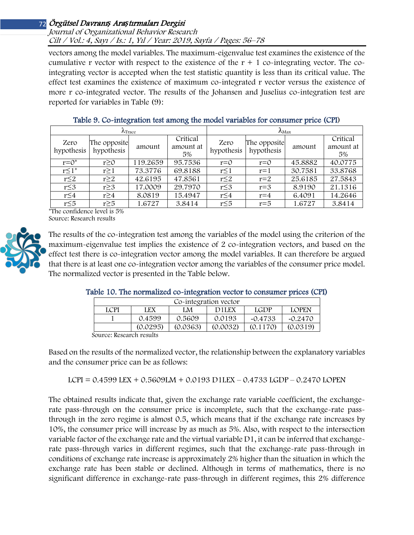#### Journal of Organizational Behavior Research Cilt / Vol.: 4, Sayı / Is.: <sup>1</sup>, Yıl / Year: 2019, Sayfa / Pages: 56–78

vectors among the model variables. The maximum-eigenvalue test examines the existence of the cumulative r vector with respect to the existence of the  $r + 1$  co-integrating vector. The cointegrating vector is accepted when the test statistic quantity is less than its critical value. The effect test examines the existence of maximum co-integrated r vector versus the existence of more r co-integrated vector. The results of the Johansen and Juselius co-integration test are reported for variables in Table (9):

| $\Lambda$ Trace                                        |                                                          |          |                             | $\Lambda_{\text{Max}}$ |                            |         |                             |
|--------------------------------------------------------|----------------------------------------------------------|----------|-----------------------------|------------------------|----------------------------|---------|-----------------------------|
| Zero<br>hypothesis                                     | The opposite<br>hypothesis                               | amount   | Critical<br>amount at<br>5% | Zero<br>hypothesis     | The opposite<br>hypothesis | amount  | Critical<br>amount at<br>5% |
| $r = 0^*$                                              | $r \ge 0$                                                | 119.2659 | 95.7536                     | $r = 0$                | $r = 0$                    | 45.8882 | 40.0775                     |
| $r \leq 1^*$                                           | $r \geq 1$                                               | 73.3776  | 69.8188                     | $r \leq 1$             | $r=1$                      | 30.7581 | 33.8768                     |
| $r \leq 2$                                             | $r \geq 2$                                               | 42.6195  | 47.8561                     | $r \leq 2$             | $r=2$                      | 25.6185 | 27.5843                     |
| $r \leq 3$                                             | $r \geq 3$                                               | 17.0009  | 29.7970                     | $r \leq 3$             | $r=3$                      | 8.9190  | 21.1316                     |
| $r \leq 4$                                             | $r \geq 4$                                               | 8.0819   | 15.4947                     | $r \leq 4$             | $r = 4$                    | 6.4091  | 14.2646                     |
| $r \leq 5$<br><b>1111</b><br>$\mathbf{A}$ $\mathbf{A}$ | $r \geq 5$<br>$\cdots$<br>$\mathbf{f}$<br>$\blacksquare$ | 1.6727   | 3.8414                      | $r \leq 5$             | $r = 5$                    | 1.6727  | 3.8414                      |

| Table 9. Co-integration test among the model variables for consumer price (CPI) |  |  |  |  |
|---------------------------------------------------------------------------------|--|--|--|--|
|                                                                                 |  |  |  |  |

\*The confidence level is 5% Source: Research results



The results of the co-integration test among the variables of the model using the criterion of the maximum-eigenvalue test implies the existence of 2 co-integration vectors, and based on the effect test there is co-integration vector among the model variables. It can therefore be argued that there is at least one co-integration vector among the variables of the consumer price model. The normalized vector is presented in the Table below.

|                       | Taple TO. The normalized co~miegration vector to consumer prices (CPI) |    |                    |      |              |  |  |  |  |
|-----------------------|------------------------------------------------------------------------|----|--------------------|------|--------------|--|--|--|--|
| Co-integration vector |                                                                        |    |                    |      |              |  |  |  |  |
| <b>LCPI</b>           | LEX                                                                    | LM | D <sub>1</sub> LEX | LGDP | <b>LOPEN</b> |  |  |  |  |

0.4599 | 0.5609 | 0.0193 | -0.4733 | -0.2470  $(0.0295)$   $(0.0363)$   $(0.0032)$   $(0.1170)$   $(0.0319)$ 

### Table 10. The normalized co-integration

| Source: Research results |  |
|--------------------------|--|
|                          |  |

Based on the results of the normalized vector, the relationship between the explanatory variables and the consumer price can be as follows:

LCPI = 0.4599 LEX + 0.5609LM + 0.0193 D1LEX – 0.4733 LGDP – 0.2470 LOPEN

The obtained results indicate that, given the exchange rate variable coefficient, the exchangerate pass-through on the consumer price is incomplete, such that the exchange-rate passthrough in the zero regime is almost 0.5, which means that if the exchange rate increases by 10%, the consumer price will increase by as much as 5%. Also, with respect to the intersection variable factor of the exchange rate and the virtual variable D1, it can be inferred that exchangerate pass-through varies in different regimes, such that the exchange-rate pass-through in conditions of exchange rate increase is approximately 2% higher than the situation in which the exchange rate has been stable or declined. Although in terms of mathematics, there is no significant difference in exchange-rate pass-through in different regimes, this 2% difference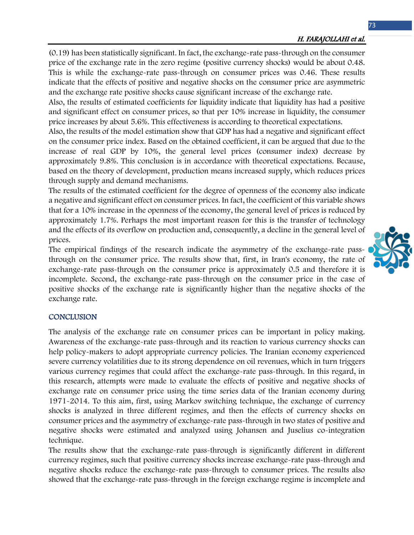(0.19) has been statistically significant. In fact, the exchange-rate pass-through on the consumer price of the exchange rate in the zero regime (positive currency shocks) would be about 0.48. This is while the exchange-rate pass-through on consumer prices was 0.46. These results indicate that the effects of positive and negative shocks on the consumer price are asymmetric and the exchange rate positive shocks cause significant increase of the exchange rate.

Also, the results of estimated coefficients for liquidity indicate that liquidity has had a positive and significant effect on consumer prices, so that per 10% increase in liquidity, the consumer price increases by about 5.6%. This effectiveness is according to theoretical expectations.

Also, the results of the model estimation show that GDP has had a negative and significant effect on the consumer price index. Based on the obtained coefficient, it can be argued that due to the increase of real GDP by 10%, the general level prices (consumer index) decrease by approximately 9.8%. This conclusion is in accordance with theoretical expectations. Because, based on the theory of development, production means increased supply, which reduces prices through supply and demand mechanisms.

The results of the estimated coefficient for the degree of openness of the economy also indicate a negative and significant effect on consumer prices. In fact, the coefficient of this variable shows that for a 10% increase in the openness of the economy, the general level of prices is reduced by approximately 1.7%. Perhaps the most important reason for this is the transfer of technology and the effects of its overflow on production and, consequently, a decline in the general level of prices.

The empirical findings of the research indicate the asymmetry of the exchange-rate passthrough on the consumer price. The results show that, first, in Iran's economy, the rate of exchange-rate pass-through on the consumer price is approximately 0.5 and therefore it is incomplete. Second, the exchange-rate pass-through on the consumer price in the case of positive shocks of the exchange rate is significantly higher than the negative shocks of the exchange rate.

#### **CONCLUSION**

The analysis of the exchange rate on consumer prices can be important in policy making. Awareness of the exchange-rate pass-through and its reaction to various currency shocks can help policy-makers to adopt appropriate currency policies. The Iranian economy experienced severe currency volatilities due to its strong dependence on oil revenues, which in turn triggers various currency regimes that could affect the exchange-rate pass-through. In this regard, in this research, attempts were made to evaluate the effects of positive and negative shocks of exchange rate on consumer price using the time series data of the Iranian economy during 1971-2014. To this aim, first, using Markov switching technique, the exchange of currency shocks is analyzed in three different regimes, and then the effects of currency shocks on consumer prices and the asymmetry of exchange-rate pass-through in two states of positive and negative shocks were estimated and analyzed using Johansen and Juselius co-integration technique.

The results show that the exchange-rate pass-through is significantly different in different currency regimes, such that positive currency shocks increase exchange-rate pass-through and negative shocks reduce the exchange-rate pass-through to consumer prices. The results also showed that the exchange-rate pass-through in the foreign exchange regime is incomplete and

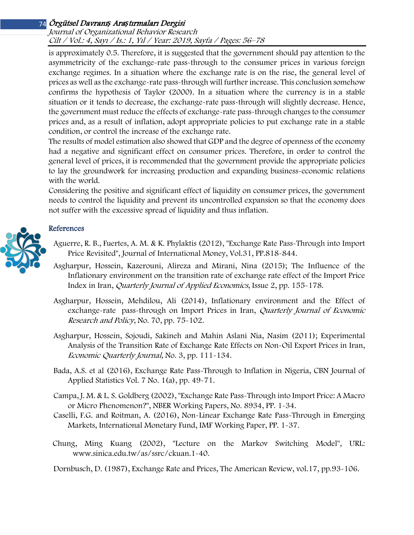Journal of Organizational Behavior Research Cilt / Vol.: 4, Sayı / Is.: <sup>1</sup>, Yıl / Year: 2019, Sayfa / Pages: 56–78

is approximately 0.5. Therefore, it is suggested that the government should pay attention to the asymmetricity of the exchange-rate pass-through to the consumer prices in various foreign exchange regimes. In a situation where the exchange rate is on the rise, the general level of prices as well as the exchange-rate pass-through will further increase. This conclusion somehow confirms the hypothesis of Taylor (2000). In a situation where the currency is in a stable situation or it tends to decrease, the exchange-rate pass-through will slightly decrease. Hence, the government must reduce the effects of exchange-rate pass-through changes to the consumer prices and, as a result of inflation, adopt appropriate policies to put exchange rate in a stable condition, or control the increase of the exchange rate.

The results of model estimation also showed that GDP and the degree of openness of the economy had a negative and significant effect on consumer prices. Therefore, in order to control the general level of prices, it is recommended that the government provide the appropriate policies to lay the groundwork for increasing production and expanding business-economic relations with the world.

Considering the positive and significant effect of liquidity on consumer prices, the government needs to control the liquidity and prevent its uncontrolled expansion so that the economy does not suffer with the excessive spread of liquidity and thus inflation.

### References

- Aguerre, R. B., Fuertes, A. M. & K. Phylaktis (2012), "Exchange Rate Pass-Through into Import Price Revisited", Journal of International Money, Vol.31, PP.818-844.
- Asgharpur, Hossein, Kazerouni, Alireza and Mirani, Nina (2015); The Influence of the Inflationary environment on the transition rate of exchange rate effect of the Import Price Index in Iran, Quarterly Journal of Applied Economics, Issue 2, pp. 155-178.
- Asgharpur, Hossein, Mehdilou, Ali (2014), Inflationary environment and the Effect of exchange-rate pass-through on Import Prices in Iran, Quarterly Journal of Economic Research and Policy, No. 70, pp. 75-102.
- Asgharpur, Hossein, Sojoudi, Sakineh and Mahin Aslani Nia, Nasim (2011); Experimental Analysis of the Transition Rate of Exchange Rate Effects on Non-Oil Export Prices in Iran, Economic Quarterly Journal, No. 3, pp. 111-134.
- Bada, A.S. et al (2016), Exchange Rate Pass-Through to Inflation in Nigeria, CBN Journal of Applied Statistics Vol. 7 No. 1(a), pp. 49-71.
- Campa, J. M. & L. S. Goldberg (2002), "Exchange Rate Pass-Through into Import Price: A Macro or Micro Phenomenon?", NBER Working Papers, No. 8934, PP. 1-34.
- Caselli, F.G. and Roitman, A. (2016), Non-Linear Exchange Rate Pass-Through in Emerging Markets, International Monetary Fund, IMF Working Paper, PP. 1-37.
- Chung, Ming Kuang (2002), "Lecture on the Markov Switching Model", URL: www.sinica.edu.tw/as/ssrc/ckuan.1-40.

Dornbusch, D. (1987), Exchange Rate and Prices, The American Review, vol.17, pp.93-106.

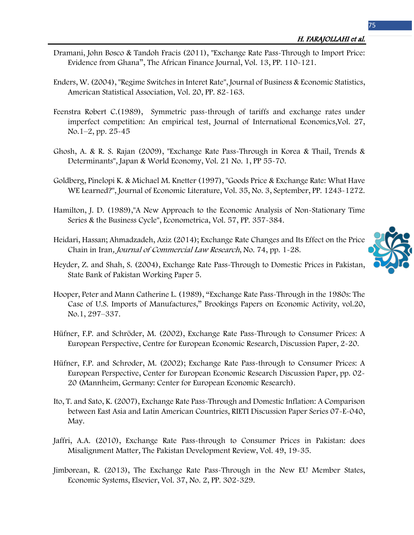- Dramani, John Bosco & Tandoh Fracis (2011), "Exchange Rate Pass-Through to Import Price: Evidence from Ghana", The African Finance Journal, Vol. 13, PP. 110-121.
- Enders, W. (2004), "Regime Switches in Interet Rate", Journal of Business & Economic Statistics, American Statistical Association, Vol. 20, PP. 82-163.
- Feenstra [Robert C.\(](https://www.sciencedirect.com/science/article/pii/0022199689900767#!)1989), Symmetric pass-through of tariffs and exchange rates under imperfect competition: An empirical test, [Journal of International Economics](https://www.sciencedirect.com/science/journal/00221996),[Vol. 27,](https://www.sciencedirect.com/science/journal/00221996/27/1)  [No.1](https://www.sciencedirect.com/science/journal/00221996/27/1)–2, pp. 25-45
- Ghosh, A. & R. S. Rajan (2009), "Exchange Rate Pass-Through in Korea & Thail, Trends & Determinants", Japan & World Economy, Vol. 21 No. 1, PP 55-70.
- Goldberg, Pinelopi K. & Michael M. Knetter (1997), "Goods Price & Exchange Rate: What Have WE Learned?", Journal of Economic Literature, Vol. 35, No. 3, September, PP. 1243-1272.
- Hamilton, J. D. (1989),"A New Approach to the Economic Analysis of Non-Stationary Time Series & the Business Cycle", Econometrica, Vol. 57, PP. 357-384.
- Heidari, Hassan; Ahmadzadeh, Aziz (2014); Exchange Rate Changes and Its Effect on the Price Chain in Iran, Journal of Commercial Law Research, No. 74, pp. 1-28.



- Hooper, Peter and Mann Catherine L. (1989), "Exchange Rate Pass-Through in the 1980s: The Case of U.S. Imports of Manufactures," Brookings Papers on Economic Activity, vol.20, No.1, 297–337.
- Hüfner, F.P. and Schröder, M. (2002), Exchange Rate Pass-Through to Consumer Prices: A European Perspective, Centre for European Economic Research, Discussion Paper, 2-20.
- Hüfner, F.P. and Schroder, M. (2002); Exchange Rate Pass-through to Consumer Prices: A European Perspective, Center for European Economic Research Discussion Paper, pp. 02- 20 (Mannheim, Germany: Center for European Economic Research).
- Ito, T. and Sato, K. (2007), Exchange Rate Pass-Through and Domestic Inflation: A Comparison between East Asia and Latin American Countries, RIETI Discussion Paper Series 07-E-040, May.
- Jaffri, A.A. (2010), Exchange Rate Pass-through to Consumer Prices in Pakistan: does Misalignment Matter, The Pakistan Development Review, Vol. 49, 19-35.
- Jimborean, R. (2013), The Exchange Rate Pass-Through in the New EU Member States, Economic Systems, Elsevier, Vol. 37, No. 2, PP. 302-329.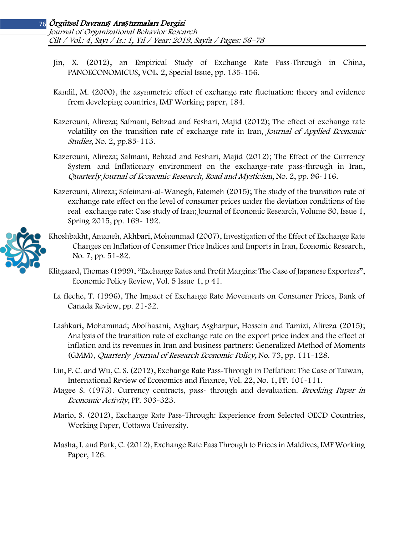- Jin, X. (2012), an Empirical Study of Exchange Rate Pass-Through in China, PANOECONOMICUS, VOL. 2, Special Issue, pp. 135-156.
- Kandil, M. (2000), the asymmetric effect of exchange rate fluctuation: theory and evidence from developing countries, IMF Working paper, 184.
- Kazerouni, Alireza; Salmani, Behzad and Feshari, Majid (2012); The effect of exchange rate volatility on the transition rate of exchange rate in Iran, Journal of Applied Economic Studies, No. 2, pp.85-113.
- Kazerouni, Alireza; Salmani, Behzad and Feshari, Majid (2012); The Effect of the Currency System and Inflationary environment on the exchange-rate pass-through in Iran, Quarterly Journal of Economic Research, Road and Mysticism, No. 2, pp. 96-116.
- Kazerouni, Alireza; Soleimani-al-Wanegh, Fatemeh (2015); The study of the transition rate of exchange rate effect on the level of consumer prices under the deviation conditions of the real exchange rate: Case study of Iran; Journal of Economic Research, Volume 50, Issue 1, Spring 2015, pp. 169- 192.



- Khoshbakht, Amaneh, Akhbari, Mohammad (2007), Investigation of the Effect of Exchange Rate Changes on Inflation of Consumer Price Indices and Imports in Iran, Economic Research, No. 7, pp. 51-82.
- Klitgaard, Thomas (1999), "Exchange Rates and Profit Margins: The Case of Japanese Exporters", Economic Policy Review, Vol. 5 Issue 1, p 41.
- La fleche, T. (1996), The Impact of Exchange Rate Movements on Consumer Prices, Bank of Canada Review, pp. 21-32.
- Lashkari, Mohammad; Abolhasani, Asghar; Asgharpur, Hossein and Tamizi, Alireza (2015); Analysis of the transition rate of exchange rate on the export price index and the effect of inflation and its revenues in Iran and business partners: Generalized Method of Moments (GMM), Quarterly Journal of Research Economic Policy, No. 73, pp. 111-128.
- Lin, P. C. and Wu, C. S. (2012), Exchange Rate Pass-Through in Deflation: The Case of Taiwan, International Review of Economics and Finance, Vol. 22, No. 1, PP. 101-111.
- Magee S. (1973). Currency contracts, pass-through and devaluation. *Brooking Paper in* Economic Activity, PP. 303-323.
- Mario, S. (2012), Exchange Rate Pass-Through: Experience from Selected OECD Countries, Working Paper, Uottawa University.
- Masha, I. and Park, C. (2012), Exchange Rate Pass Through to Prices in Maldives, IMF Working Paper, 126.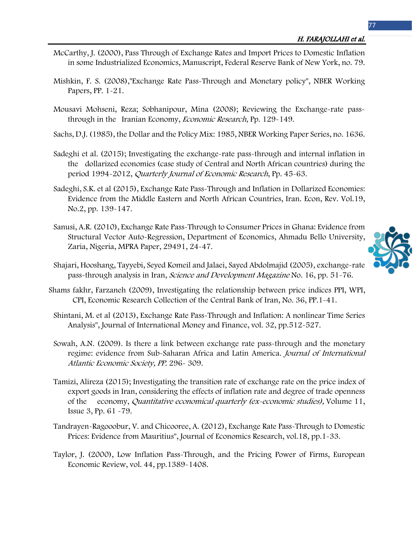- McCarthy, J. (2000), Pass Through of Exchange Rates and Import Prices to Domestic Inflation in some Industrialized Economics, Manuscript, Federal Reserve Bank of New York, no. 79.
- Mishkin, F. S. (2008),"Exchange Rate Pass-Through and Monetary policy", NBER Working Papers, PP. 1-21.
- Mousavi Mohseni, Reza; Sobhanipour, Mina (2008); Reviewing the Exchange-rate passthrough in the Iranian Economy, *Economic Research*, Pp. 129-149.
- Sachs, D.J. (1985), the Dollar and the Policy Mix: 1985, NBER Working Paper Series, no. 1636.
- Sadeghi et al. (2015); Investigating the exchange-rate pass-through and internal inflation in the dollarized economies (case study of Central and North African countries) during the period 1994-2012, Quarterly Journal of Economic Research, Pp. 45-63.
- Sadeghi, S.K. et al (2015), Exchange Rate Pass-Through and Inflation in Dollarized Economies: Evidence from the Middle Eastern and North African Countries, Iran. Econ, Rev. Vol.19, No.2, pp. 139-147.
- Sanusi, A.R. (2010), Exchange Rate Pass-Through to Consumer Prices in Ghana: Evidence from Structural Vector Auto-Regression, Department of Economics, Ahmadu Bello University, Zaria, Nigeria, MPRA Paper, 29491, 24-47.



- Shajari, Hooshang, Tayyebi, Seyed Komeil and Jalaei, Sayed Abdolmajid (2005), exchange-rate pass-through analysis in Iran, Science and Development Magazine No. 16, pp. 51-76.
- Shams fakhr, Farzaneh (2009), Investigating the relationship between price indices PPI, WPI, CPI, Economic Research Collection of the Central Bank of Iran, No. 36, PP.1-41.
- Shintani, M. et al (2013), Exchange Rate Pass-Through and Inflation: A nonlinear Time Series Analysis", Journal of International Money and Finance, vol. 32, pp.512-527.
- Sowah, A.N. (2009). Is there a link between exchange rate pass-through and the monetary regime: evidence from Sub-Saharan Africa and Latin America. Journal of International Atlantic Economic Society, PP. 296- 309.
- Tamizi, Alireza (2015); Investigating the transition rate of exchange rate on the price index of export goods in Iran, considering the effects of inflation rate and degree of trade openness of the economy, Quantitative economical quarterly (ex-economic studies), Volume 11, Issue 3, Pp. 61 -79.
- Tandrayen-Ragooobur, V. and Chicooree, A. (2012), Exchange Rate Pass-Through to Domestic Prices: Evidence from Mauritius", Journal of Economics Research, vol.18, pp.1-33.
- Taylor, J. (2000), Low Inflation Pass-Through, and the Pricing Power of Firms, European Economic Review, vol. 44, pp.1389-1408.